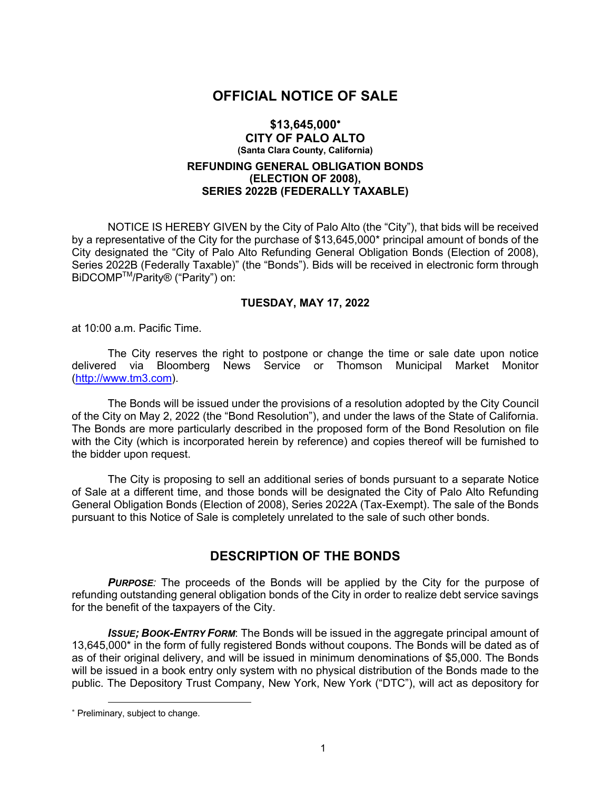### **OFFICIAL NOTICE OF SALE**

#### **\$13,645,000**\* **CITY OF PALO ALTO (Santa Clara County, California)**

### **REFUNDING GENERAL OBLIGATION BONDS (ELECTION OF 2008), SERIES 2022B (FEDERALLY TAXABLE)**

NOTICE IS HEREBY GIVEN by the City of Palo Alto (the "City"), that bids will be received by a representative of the City for the purchase of \$13,645,000\* principal amount of bonds of the City designated the "City of Palo Alto Refunding General Obligation Bonds (Election of 2008), Series 2022B (Federally Taxable)" (the "Bonds"). Bids will be received in electronic form through BiDCOMPTM/Parity® ("Parity") on:

#### **TUESDAY, MAY 17, 2022**

at 10:00 a.m. Pacific Time.

The City reserves the right to postpone or change the time or sale date upon notice delivered via Bloomberg News Service or Thomson Municipal Market Monitor (http://www.tm3.com).

The Bonds will be issued under the provisions of a resolution adopted by the City Council of the City on May 2, 2022 (the "Bond Resolution"), and under the laws of the State of California. The Bonds are more particularly described in the proposed form of the Bond Resolution on file with the City (which is incorporated herein by reference) and copies thereof will be furnished to the bidder upon request.

The City is proposing to sell an additional series of bonds pursuant to a separate Notice of Sale at a different time, and those bonds will be designated the City of Palo Alto Refunding General Obligation Bonds (Election of 2008), Series 2022A (Tax-Exempt). The sale of the Bonds pursuant to this Notice of Sale is completely unrelated to the sale of such other bonds.

## **DESCRIPTION OF THE BONDS**

**PURPOSE**: The proceeds of the Bonds will be applied by the City for the purpose of refunding outstanding general obligation bonds of the City in order to realize debt service savings for the benefit of the taxpayers of the City.

*ISSUE; BOOK-ENTRY FORM*: The Bonds will be issued in the aggregate principal amount of 13,645,000\* in the form of fully registered Bonds without coupons. The Bonds will be dated as of as of their original delivery, and will be issued in minimum denominations of \$5,000. The Bonds will be issued in a book entry only system with no physical distribution of the Bonds made to the public. The Depository Trust Company, New York, New York ("DTC"), will act as depository for

<sup>\*</sup> Preliminary, subject to change.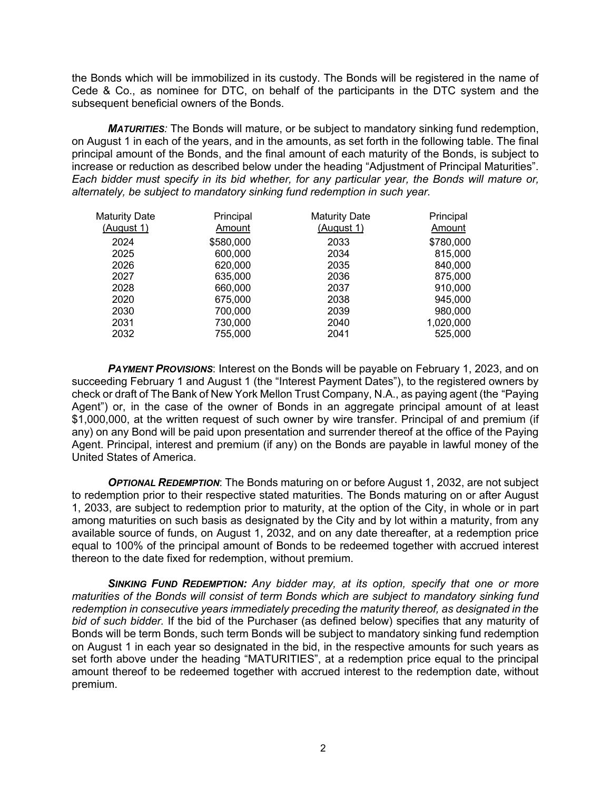the Bonds which will be immobilized in its custody. The Bonds will be registered in the name of Cede & Co., as nominee for DTC, on behalf of the participants in the DTC system and the subsequent beneficial owners of the Bonds.

*MATURITIES:* The Bonds will mature, or be subject to mandatory sinking fund redemption, on August 1 in each of the years, and in the amounts, as set forth in the following table. The final principal amount of the Bonds, and the final amount of each maturity of the Bonds, is subject to increase or reduction as described below under the heading "Adjustment of Principal Maturities". *Each bidder must specify in its bid whether, for any particular year, the Bonds will mature or, alternately, be subject to mandatory sinking fund redemption in such year.*

| <b>Maturity Date</b> | Principal     | <b>Maturity Date</b> | Principal     |
|----------------------|---------------|----------------------|---------------|
| (August 1)           | <b>Amount</b> | (August 1)           | <b>Amount</b> |
| 2024                 | \$580,000     | 2033                 | \$780,000     |
| 2025                 | 600,000       | 2034                 | 815,000       |
| 2026                 | 620,000       | 2035                 | 840,000       |
| 2027                 | 635,000       | 2036                 | 875,000       |
| 2028                 | 660,000       | 2037                 | 910,000       |
| 2020                 | 675,000       | 2038                 | 945.000       |
| 2030                 | 700,000       | 2039                 | 980,000       |
| 2031                 | 730,000       | 2040                 | 1,020,000     |
| 2032                 | 755.000       | 2041                 | 525,000       |

*PAYMENT PROVISIONS*: Interest on the Bonds will be payable on February 1, 2023, and on succeeding February 1 and August 1 (the "Interest Payment Dates"), to the registered owners by check or draft of The Bank of New York Mellon Trust Company, N.A., as paying agent (the "Paying Agent") or, in the case of the owner of Bonds in an aggregate principal amount of at least \$1,000,000, at the written request of such owner by wire transfer. Principal of and premium (if any) on any Bond will be paid upon presentation and surrender thereof at the office of the Paying Agent. Principal, interest and premium (if any) on the Bonds are payable in lawful money of the United States of America.

**OPTIONAL REDEMPTION:** The Bonds maturing on or before August 1, 2032, are not subject to redemption prior to their respective stated maturities. The Bonds maturing on or after August 1, 2033, are subject to redemption prior to maturity, at the option of the City, in whole or in part among maturities on such basis as designated by the City and by lot within a maturity, from any available source of funds, on August 1, 2032, and on any date thereafter, at a redemption price equal to 100% of the principal amount of Bonds to be redeemed together with accrued interest thereon to the date fixed for redemption, without premium.

*SINKING FUND REDEMPTION: Any bidder may, at its option, specify that one or more maturities of the Bonds will consist of term Bonds which are subject to mandatory sinking fund redemption in consecutive years immediately preceding the maturity thereof, as designated in the bid of such bidder.* If the bid of the Purchaser (as defined below) specifies that any maturity of Bonds will be term Bonds, such term Bonds will be subject to mandatory sinking fund redemption on August 1 in each year so designated in the bid, in the respective amounts for such years as set forth above under the heading "MATURITIES", at a redemption price equal to the principal amount thereof to be redeemed together with accrued interest to the redemption date, without premium.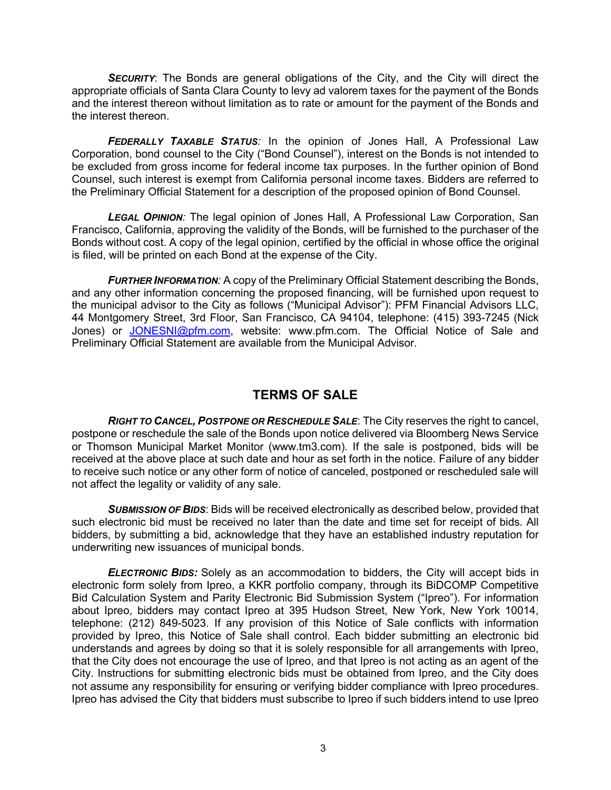**SECURITY:** The Bonds are general obligations of the City, and the City will direct the appropriate officials of Santa Clara County to levy ad valorem taxes for the payment of the Bonds and the interest thereon without limitation as to rate or amount for the payment of the Bonds and the interest thereon.

*FEDERALLY TAXABLE STATUS:* In the opinion of Jones Hall, A Professional Law Corporation, bond counsel to the City ("Bond Counsel"), interest on the Bonds is not intended to be excluded from gross income for federal income tax purposes. In the further opinion of Bond Counsel, such interest is exempt from California personal income taxes. Bidders are referred to the Preliminary Official Statement for a description of the proposed opinion of Bond Counsel.

*LEGAL OPINION:* The legal opinion of Jones Hall, A Professional Law Corporation, San Francisco, California, approving the validity of the Bonds, will be furnished to the purchaser of the Bonds without cost. A copy of the legal opinion, certified by the official in whose office the original is filed, will be printed on each Bond at the expense of the City.

*FURTHER INFORMATION:* A copy of the Preliminary Official Statement describing the Bonds, and any other information concerning the proposed financing, will be furnished upon request to the municipal advisor to the City as follows ("Municipal Advisor"): PFM Financial Advisors LLC, 44 Montgomery Street, 3rd Floor, San Francisco, CA 94104, telephone: (415) 393-7245 (Nick Jones) or JONESNI@pfm.com, website: www.pfm.com. The Official Notice of Sale and Preliminary Official Statement are available from the Municipal Advisor.

# **TERMS OF SALE**

*RIGHT TO CANCEL, POSTPONE OR RESCHEDULE SALE*: The City reserves the right to cancel, postpone or reschedule the sale of the Bonds upon notice delivered via Bloomberg News Service or Thomson Municipal Market Monitor (www.tm3.com). If the sale is postponed, bids will be received at the above place at such date and hour as set forth in the notice. Failure of any bidder to receive such notice or any other form of notice of canceled, postponed or rescheduled sale will not affect the legality or validity of any sale.

**SUBMISSION OF BIDS:** Bids will be received electronically as described below, provided that such electronic bid must be received no later than the date and time set for receipt of bids. All bidders, by submitting a bid, acknowledge that they have an established industry reputation for underwriting new issuances of municipal bonds.

*ELECTRONIC BIDS:* Solely as an accommodation to bidders, the City will accept bids in electronic form solely from Ipreo, a KKR portfolio company, through its BiDCOMP Competitive Bid Calculation System and Parity Electronic Bid Submission System ("Ipreo"). For information about Ipreo, bidders may contact Ipreo at 395 Hudson Street, New York, New York 10014, telephone: (212) 849-5023. If any provision of this Notice of Sale conflicts with information provided by Ipreo, this Notice of Sale shall control. Each bidder submitting an electronic bid understands and agrees by doing so that it is solely responsible for all arrangements with Ipreo, that the City does not encourage the use of Ipreo, and that Ipreo is not acting as an agent of the City. Instructions for submitting electronic bids must be obtained from Ipreo, and the City does not assume any responsibility for ensuring or verifying bidder compliance with Ipreo procedures. Ipreo has advised the City that bidders must subscribe to Ipreo if such bidders intend to use Ipreo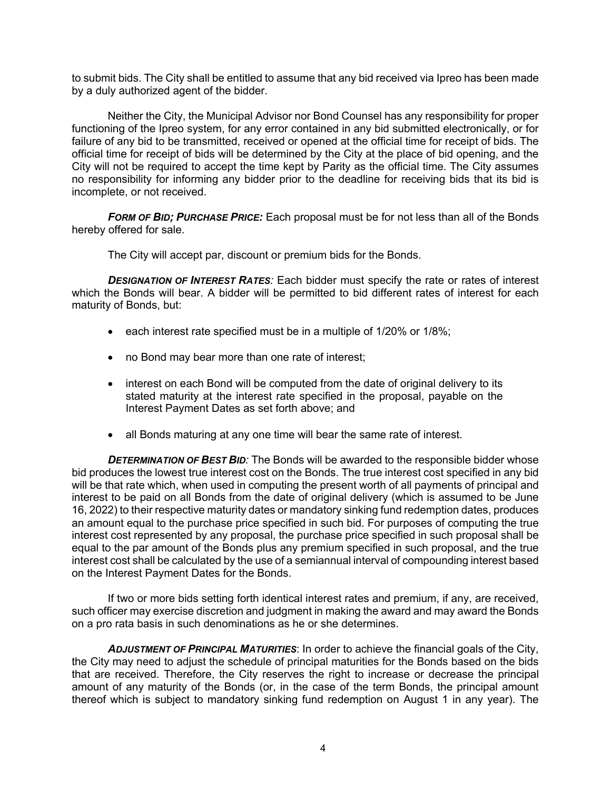to submit bids. The City shall be entitled to assume that any bid received via Ipreo has been made by a duly authorized agent of the bidder.

Neither the City, the Municipal Advisor nor Bond Counsel has any responsibility for proper functioning of the Ipreo system, for any error contained in any bid submitted electronically, or for failure of any bid to be transmitted, received or opened at the official time for receipt of bids. The official time for receipt of bids will be determined by the City at the place of bid opening, and the City will not be required to accept the time kept by Parity as the official time. The City assumes no responsibility for informing any bidder prior to the deadline for receiving bids that its bid is incomplete, or not received.

*FORM OF BID; PURCHASE PRICE:* Each proposal must be for not less than all of the Bonds hereby offered for sale.

The City will accept par, discount or premium bids for the Bonds.

**DESIGNATION OF INTEREST RATES:** Each bidder must specify the rate or rates of interest which the Bonds will bear. A bidder will be permitted to bid different rates of interest for each maturity of Bonds, but:

- each interest rate specified must be in a multiple of 1/20% or 1/8%;
- no Bond may bear more than one rate of interest;
- interest on each Bond will be computed from the date of original delivery to its stated maturity at the interest rate specified in the proposal, payable on the Interest Payment Dates as set forth above; and
- all Bonds maturing at any one time will bear the same rate of interest.

*DETERMINATION OF BEST BID:* The Bonds will be awarded to the responsible bidder whose bid produces the lowest true interest cost on the Bonds. The true interest cost specified in any bid will be that rate which, when used in computing the present worth of all payments of principal and interest to be paid on all Bonds from the date of original delivery (which is assumed to be June 16, 2022) to their respective maturity dates or mandatory sinking fund redemption dates, produces an amount equal to the purchase price specified in such bid. For purposes of computing the true interest cost represented by any proposal, the purchase price specified in such proposal shall be equal to the par amount of the Bonds plus any premium specified in such proposal, and the true interest cost shall be calculated by the use of a semiannual interval of compounding interest based on the Interest Payment Dates for the Bonds.

If two or more bids setting forth identical interest rates and premium, if any, are received, such officer may exercise discretion and judgment in making the award and may award the Bonds on a pro rata basis in such denominations as he or she determines.

*ADJUSTMENT OF PRINCIPAL MATURITIES*: In order to achieve the financial goals of the City, the City may need to adjust the schedule of principal maturities for the Bonds based on the bids that are received. Therefore, the City reserves the right to increase or decrease the principal amount of any maturity of the Bonds (or, in the case of the term Bonds, the principal amount thereof which is subject to mandatory sinking fund redemption on August 1 in any year). The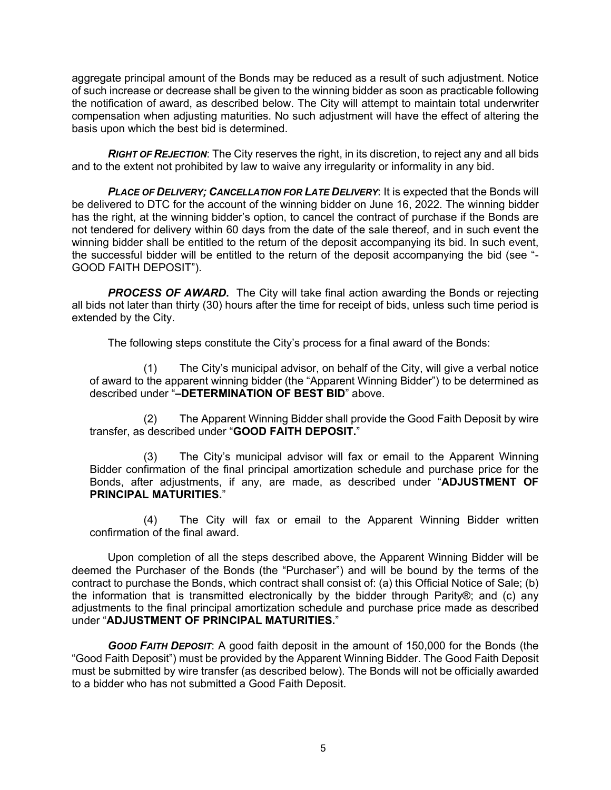aggregate principal amount of the Bonds may be reduced as a result of such adjustment. Notice of such increase or decrease shall be given to the winning bidder as soon as practicable following the notification of award, as described below. The City will attempt to maintain total underwriter compensation when adjusting maturities. No such adjustment will have the effect of altering the basis upon which the best bid is determined.

*RIGHT OF REJECTION*: The City reserves the right, in its discretion, to reject any and all bids and to the extent not prohibited by law to waive any irregularity or informality in any bid.

*PLACE OF DELIVERY; CANCELLATION FOR LATE DELIVERY*: It is expected that the Bonds will be delivered to DTC for the account of the winning bidder on June 16, 2022. The winning bidder has the right, at the winning bidder's option, to cancel the contract of purchase if the Bonds are not tendered for delivery within 60 days from the date of the sale thereof, and in such event the winning bidder shall be entitled to the return of the deposit accompanying its bid. In such event, the successful bidder will be entitled to the return of the deposit accompanying the bid (see "- GOOD FAITH DEPOSIT").

*PROCESS OF AWARD***.** The City will take final action awarding the Bonds or rejecting all bids not later than thirty (30) hours after the time for receipt of bids, unless such time period is extended by the City.

The following steps constitute the City's process for a final award of the Bonds:

(1) The City's municipal advisor, on behalf of the City, will give a verbal notice of award to the apparent winning bidder (the "Apparent Winning Bidder") to be determined as described under "**–DETERMINATION OF BEST BID**" above.

(2) The Apparent Winning Bidder shall provide the Good Faith Deposit by wire transfer, as described under "**GOOD FAITH DEPOSIT.**"

(3) The City's municipal advisor will fax or email to the Apparent Winning Bidder confirmation of the final principal amortization schedule and purchase price for the Bonds, after adjustments, if any, are made, as described under "**ADJUSTMENT OF PRINCIPAL MATURITIES.**"

(4) The City will fax or email to the Apparent Winning Bidder written confirmation of the final award.

Upon completion of all the steps described above, the Apparent Winning Bidder will be deemed the Purchaser of the Bonds (the "Purchaser") and will be bound by the terms of the contract to purchase the Bonds, which contract shall consist of: (a) this Official Notice of Sale; (b) the information that is transmitted electronically by the bidder through Parity®; and (c) any adjustments to the final principal amortization schedule and purchase price made as described under "**ADJUSTMENT OF PRINCIPAL MATURITIES.**"

*GOOD FAITH DEPOSIT*: A good faith deposit in the amount of 150,000 for the Bonds (the "Good Faith Deposit") must be provided by the Apparent Winning Bidder. The Good Faith Deposit must be submitted by wire transfer (as described below). The Bonds will not be officially awarded to a bidder who has not submitted a Good Faith Deposit.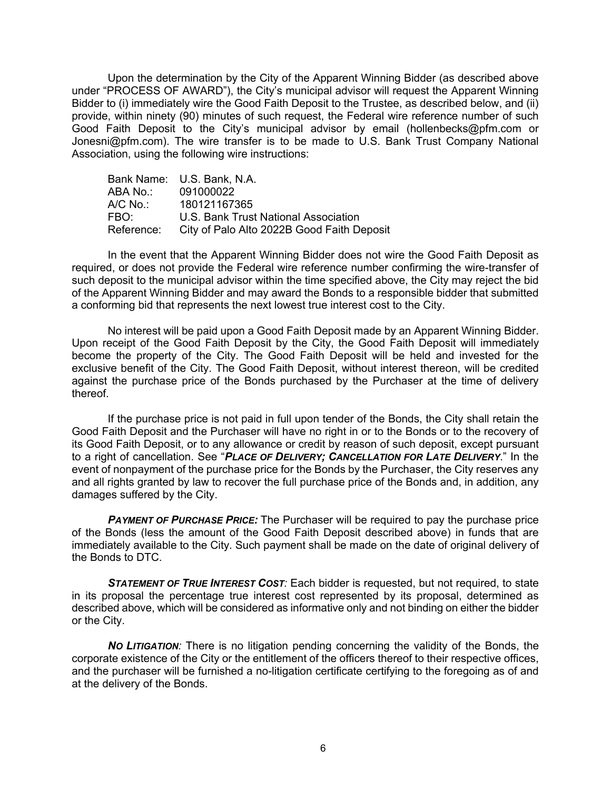Upon the determination by the City of the Apparent Winning Bidder (as described above under "PROCESS OF AWARD"), the City's municipal advisor will request the Apparent Winning Bidder to (i) immediately wire the Good Faith Deposit to the Trustee, as described below, and (ii) provide, within ninety (90) minutes of such request, the Federal wire reference number of such Good Faith Deposit to the City's municipal advisor by email (hollenbecks@pfm.com or Jonesni@pfm.com). The wire transfer is to be made to U.S. Bank Trust Company National Association, using the following wire instructions:

|            | Bank Name: U.S. Bank, N.A.                 |
|------------|--------------------------------------------|
| ABA No.:   | 091000022                                  |
| A/C No.:_  | 180121167365                               |
| FBO:       | U.S. Bank Trust National Association       |
| Reference: | City of Palo Alto 2022B Good Faith Deposit |

In the event that the Apparent Winning Bidder does not wire the Good Faith Deposit as required, or does not provide the Federal wire reference number confirming the wire-transfer of such deposit to the municipal advisor within the time specified above, the City may reject the bid of the Apparent Winning Bidder and may award the Bonds to a responsible bidder that submitted a conforming bid that represents the next lowest true interest cost to the City.

No interest will be paid upon a Good Faith Deposit made by an Apparent Winning Bidder. Upon receipt of the Good Faith Deposit by the City, the Good Faith Deposit will immediately become the property of the City. The Good Faith Deposit will be held and invested for the exclusive benefit of the City. The Good Faith Deposit, without interest thereon, will be credited against the purchase price of the Bonds purchased by the Purchaser at the time of delivery thereof.

If the purchase price is not paid in full upon tender of the Bonds, the City shall retain the Good Faith Deposit and the Purchaser will have no right in or to the Bonds or to the recovery of its Good Faith Deposit, or to any allowance or credit by reason of such deposit, except pursuant to a right of cancellation. See "*PLACE OF DELIVERY; CANCELLATION FOR LATE DELIVERY*." In the event of nonpayment of the purchase price for the Bonds by the Purchaser, the City reserves any and all rights granted by law to recover the full purchase price of the Bonds and, in addition, any damages suffered by the City.

**PAYMENT OF PURCHASE PRICE:** The Purchaser will be required to pay the purchase price of the Bonds (less the amount of the Good Faith Deposit described above) in funds that are immediately available to the City. Such payment shall be made on the date of original delivery of the Bonds to DTC.

*STATEMENT OF TRUE INTEREST COST:* Each bidder is requested, but not required, to state in its proposal the percentage true interest cost represented by its proposal, determined as described above, which will be considered as informative only and not binding on either the bidder or the City.

*NO LITIGATION:* There is no litigation pending concerning the validity of the Bonds, the corporate existence of the City or the entitlement of the officers thereof to their respective offices, and the purchaser will be furnished a no-litigation certificate certifying to the foregoing as of and at the delivery of the Bonds.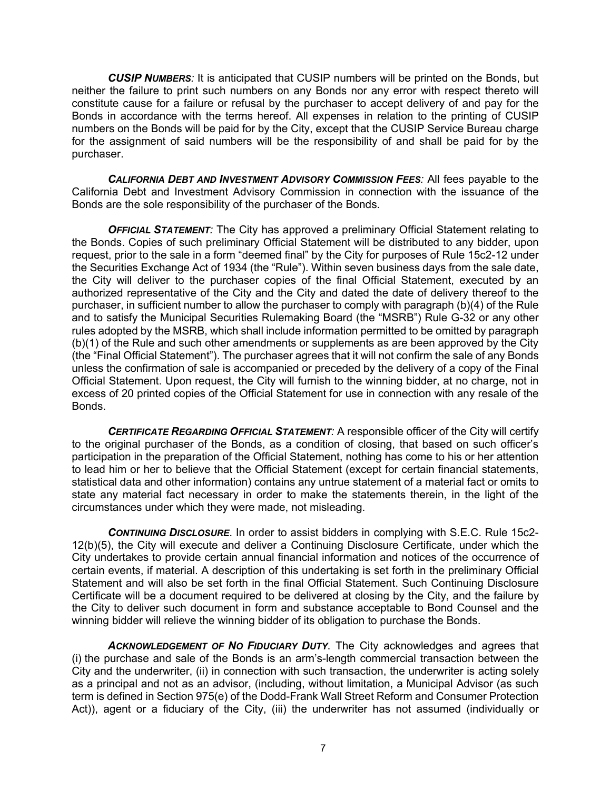*CUSIP NUMBERS:* It is anticipated that CUSIP numbers will be printed on the Bonds, but neither the failure to print such numbers on any Bonds nor any error with respect thereto will constitute cause for a failure or refusal by the purchaser to accept delivery of and pay for the Bonds in accordance with the terms hereof. All expenses in relation to the printing of CUSIP numbers on the Bonds will be paid for by the City, except that the CUSIP Service Bureau charge for the assignment of said numbers will be the responsibility of and shall be paid for by the purchaser.

*CALIFORNIA DEBT AND INVESTMENT ADVISORY COMMISSION FEES:* All fees payable to the California Debt and Investment Advisory Commission in connection with the issuance of the Bonds are the sole responsibility of the purchaser of the Bonds.

*OFFICIAL STATEMENT:* The City has approved a preliminary Official Statement relating to the Bonds. Copies of such preliminary Official Statement will be distributed to any bidder, upon request, prior to the sale in a form "deemed final" by the City for purposes of Rule 15c2-12 under the Securities Exchange Act of 1934 (the "Rule"). Within seven business days from the sale date, the City will deliver to the purchaser copies of the final Official Statement, executed by an authorized representative of the City and the City and dated the date of delivery thereof to the purchaser, in sufficient number to allow the purchaser to comply with paragraph (b)(4) of the Rule and to satisfy the Municipal Securities Rulemaking Board (the "MSRB") Rule G-32 or any other rules adopted by the MSRB, which shall include information permitted to be omitted by paragraph (b)(1) of the Rule and such other amendments or supplements as are been approved by the City (the "Final Official Statement"). The purchaser agrees that it will not confirm the sale of any Bonds unless the confirmation of sale is accompanied or preceded by the delivery of a copy of the Final Official Statement. Upon request, the City will furnish to the winning bidder, at no charge, not in excess of 20 printed copies of the Official Statement for use in connection with any resale of the Bonds.

*CERTIFICATE REGARDING OFFICIAL STATEMENT:* A responsible officer of the City will certify to the original purchaser of the Bonds, as a condition of closing, that based on such officer's participation in the preparation of the Official Statement, nothing has come to his or her attention to lead him or her to believe that the Official Statement (except for certain financial statements, statistical data and other information) contains any untrue statement of a material fact or omits to state any material fact necessary in order to make the statements therein, in the light of the circumstances under which they were made, not misleading.

*CONTINUING DISCLOSURE*. In order to assist bidders in complying with S.E.C. Rule 15c2- 12(b)(5), the City will execute and deliver a Continuing Disclosure Certificate, under which the City undertakes to provide certain annual financial information and notices of the occurrence of certain events, if material. A description of this undertaking is set forth in the preliminary Official Statement and will also be set forth in the final Official Statement. Such Continuing Disclosure Certificate will be a document required to be delivered at closing by the City, and the failure by the City to deliver such document in form and substance acceptable to Bond Counsel and the winning bidder will relieve the winning bidder of its obligation to purchase the Bonds.

*ACKNOWLEDGEMENT OF NO FIDUCIARY DUTY*. The City acknowledges and agrees that (i) the purchase and sale of the Bonds is an arm's-length commercial transaction between the City and the underwriter, (ii) in connection with such transaction, the underwriter is acting solely as a principal and not as an advisor, (including, without limitation, a Municipal Advisor (as such term is defined in Section 975(e) of the Dodd-Frank Wall Street Reform and Consumer Protection Act)), agent or a fiduciary of the City, (iii) the underwriter has not assumed (individually or